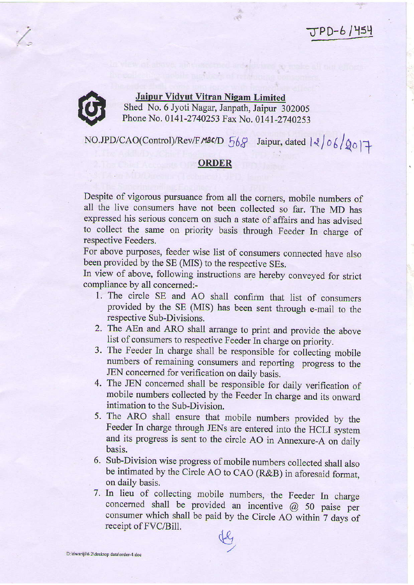

## Jaipur Vidyut Vitran Nigam Limited Shed No.6 Jyoti Nagar, Janpath, Jaipur 302005 Phone No. 0141-2740253 Fax No. 0141-2740253

## NO.JPD/CAO(Control)/Rev/FMBC/D 56g Jaipur, dated  $|2|06|$  Qo] $\mp$

## ORDER

Despite of vigorous pursuance from all the corners, mobile numbers of all the live consumers have not been collected so far. The MD has expressed his serious concem on such a state of affairs and has advised to collect the same on priority basis through Feeder In charge of respective Feeders.

For above purposes, feeder wise list of consumers connected have also been provided by the SE (MIS) to the respective SEs.

In view of above, following instructions are hereby conveyed for strict compliance by all concemed:-

- 1. The circle SE and AO shall confirm that list of consumers provided by the SE (MIS) has been sent through e-mail to the respective Sub-Divisions.
- 2. The AEn and ARO shall arrange to print and provide the above list of consumers to respective Feeder In charge on priority.
- 3. The Feeder In charge shall be responsible for collecting mobile numbers of remaining consumers and reporting progress to the JEN concemed for verification on daily basis.
- 4. The JEN concemed shall be responsible for daily verification of mobile numbers collected by the Feeder In charge and its onward intimarion to the Sub-Division.
- 5. The ARO shall ensure that mobile numbers provided by the Feeder In charge through JENs are entered into the HCLI system and its progress is sent to the circle AO in Annexure\_A on daily basis.
- 6. Sub-Division wise progress of mobile numbers collected shall also be intimated by the Circle AO to CAO (R&B) in aforesaid format, on daily basis.
- 7. In lieu of collecting mobile numbers, the Feeder In charge concerned shall be provided an incentive  $\omega$  50 paise per consumer which shall be paid by the Circle AO within 7 days of receipt of FVC/Bil,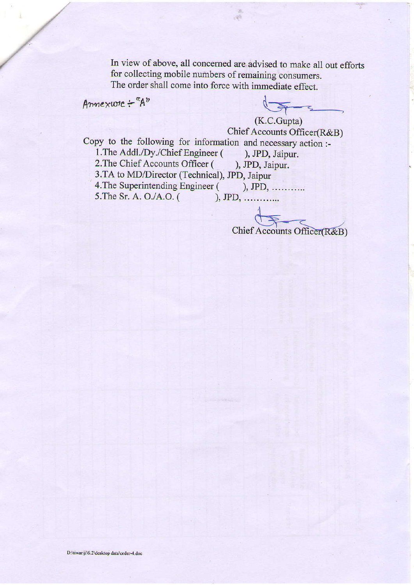In view of above, all concemed are advised to make all out efforts for collecting mobile numbers of remaining consumers. The order shall come into force with immediate effect.

 $Amnexwce - a^a$ 

(K.C.Gupta)

Chief Accounts Officer(R&B)

Copy to the following for information and necessary action:<br>- 1. The Addl./Dy./Chief Engineer (), JPD, Jaipur. 1. The Addl./Dy./Chief Engineer ( ), JPD, Jaipur.<br>2. The Chief Accounts Officer ( ), JPD, Jaipur. 2. The Chief Accounts Officer ( 3.TA to MD/Director (Technical), JPD, Jaipur 4. The Superintending Engineer ( ), JPD, ............ 5.The Sr. A. O./A.O. ( ), JPD, .............

Chief Accounts Officer(R&B)